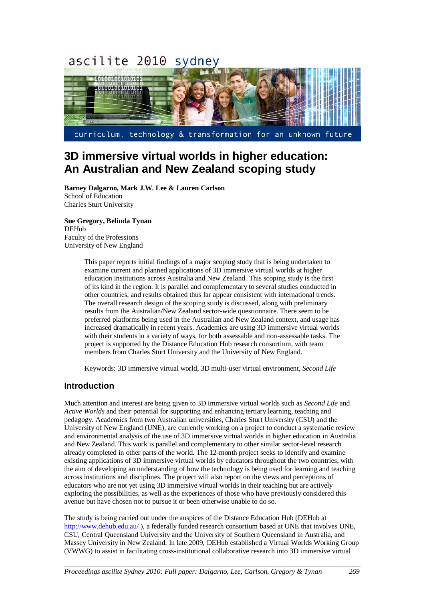#### ascilite 2010 sydney



curriculum, technology & transformation for an unknown future

# **3D immersive virtual worlds in higher education: An Australian and New Zealand scoping study**

**Barney Dalgarno, Mark J.W. Lee & Lauren Carlson** School of Education Charles Sturt University

#### **Sue Gregory, Belinda Tynan** DEHub

Faculty of the Professions University of New England

> This paper reports initial findings of a major scoping study that is being undertaken to examine current and planned applications of 3D immersive virtual worlds at higher education institutions across Australia and New Zealand. This scoping study is the first of its kind in the region. It is parallel and complementary to several studies conducted in other countries, and results obtained thus far appear consistent with international trends. The overall research design of the scoping study is discussed, along with preliminary results from the Australian/New Zealand sector-wide questionnaire. There seem to be preferred platforms being used in the Australian and New Zealand context, and usage has increased dramatically in recent years. Academics are using 3D immersive virtual worlds with their students in a variety of ways, for both assessable and non-assessable tasks. The project is supported by the Distance Education Hub research consortium, with team members from Charles Sturt University and the University of New England.

Keywords: 3D immersive virtual world, 3D multi-user virtual environment, *Second Life*

# **Introduction**

Much attention and interest are being given to 3D immersive virtual worlds such as *Second Life* and *Active Worlds* and their potential for supporting and enhancing tertiary learning, teaching and pedagogy. Academics from two Australian universities, Charles Sturt University (CSU) and the University of New England (UNE), are currently working on a project to conduct a systematic review and environmental analysis of the use of 3D immersive virtual worlds in higher education in Australia and New Zealand. This work is parallel and complementary to other similar sector-level research already completed in other parts of the world. The 12-month project seeks to identify and examine existing applications of 3D immersive virtual worlds by educators throughout the two countries, with the aim of developing an understanding of how the technology is being used for learning and teaching across institutions and disciplines. The project will also report on the views and perceptions of educators who are not yet using 3D immersive virtual worlds in their teaching but are actively exploring the possibilities, as well as the experiences of those who have previously considered this avenue but have chosen not to pursue it or been otherwise unable to do so.

The study is being carried out under the auspices of the Distance Education Hub (DEHub at <http://www.dehub.edu.au/> ), a federally funded research consortium based at UNE that involves UNE, CSU, Central Queensland University and the University of Southern Queensland in Australia, and Massey University in New Zealand. In late 2009, DEHub established a Virtual Worlds Working Group (VWWG) to assist in facilitating cross-institutional collaborative research into 3D immersive virtual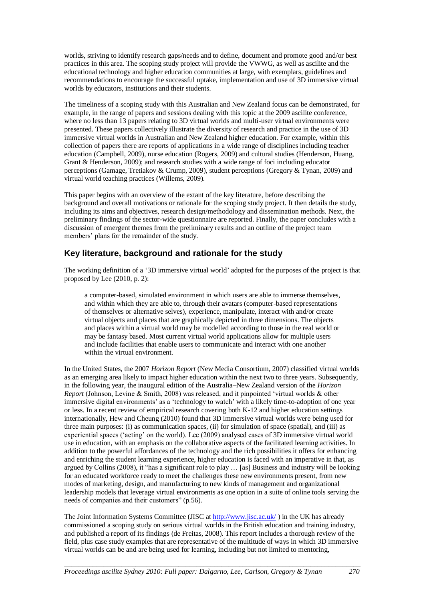worlds, striving to identify research gaps/needs and to define, document and promote good and/or best practices in this area. The scoping study project will provide the VWWG, as well as ascilite and the educational technology and higher education communities at large, with exemplars, guidelines and recommendations to encourage the successful uptake, implementation and use of 3D immersive virtual worlds by educators, institutions and their students.

The timeliness of a scoping study with this Australian and New Zealand focus can be demonstrated, for example, in the range of papers and sessions dealing with this topic at the 2009 ascilite conference, where no less than 13 papers relating to 3D virtual worlds and multi-user virtual environments were presented. These papers collectively illustrate the diversity of research and practice in the use of 3D immersive virtual worlds in Australian and New Zealand higher education. For example, within this collection of papers there are reports of applications in a wide range of disciplines including teacher education (Campbell, 2009), nurse education (Rogers, 2009) and cultural studies (Henderson, Huang, Grant & Henderson, 2009); and research studies with a wide range of foci including educator perceptions (Gamage, Tretiakov & Crump, 2009), student perceptions (Gregory & Tynan, 2009) and virtual world teaching practices (Willems, 2009).

This paper begins with an overview of the extant of the key literature, before describing the background and overall motivations or rationale for the scoping study project. It then details the study, including its aims and objectives, research design/methodology and dissemination methods. Next, the preliminary findings of the sector-wide questionnaire are reported. Finally, the paper concludes with a discussion of emergent themes from the preliminary results and an outline of the project team members' plans for the remainder of the study.

# **Key literature, background and rationale for the study**

The working definition of a "3D immersive virtual world" adopted for the purposes of the project is that proposed by Lee (2010, p. 2):

a computer-based, simulated environment in which users are able to immerse themselves, and within which they are able to, through their avatars (computer-based representations of themselves or alternative selves), experience, manipulate, interact with and/or create virtual objects and places that are graphically depicted in three dimensions. The objects and places within a virtual world may be modelled according to those in the real world or may be fantasy based. Most current virtual world applications allow for multiple users and include facilities that enable users to communicate and interact with one another within the virtual environment.

In the United States, the 2007 *Horizon Report* (New Media Consortium, 2007) classified virtual worlds as an emerging area likely to impact higher education within the next two to three years. Subsequently, in the following year, the inaugural edition of the Australia–New Zealand version of the *Horizon Report* (Johnson, Levine & Smith, 2008) was released, and it pinpointed "virtual worlds & other immersive digital environments' as a 'technology to watch' with a likely time-to-adoption of one year or less. In a recent review of empirical research covering both K-12 and higher education settings internationally, Hew and Cheung (2010) found that 3D immersive virtual worlds were being used for three main purposes: (i) as communication spaces, (ii) for simulation of space (spatial), and (iii) as experiential spaces ("acting" on the world). Lee (2009) analysed cases of 3D immersive virtual world use in education, with an emphasis on the collaborative aspects of the facilitated learning activities. In addition to the powerful affordances of the technology and the rich possibilities it offers for enhancing and enriching the student learning experience, higher education is faced with an imperative in that, as argued by Collins (2008), it "has a significant role to play … [as] Business and industry will be looking for an educated workforce ready to meet the challenges these new environments present, from new modes of marketing, design, and manufacturing to new kinds of management and organizational leadership models that leverage virtual environments as one option in a suite of online tools serving the needs of companies and their customers" (p.56).

The Joint Information Systems Committee (JISC at<http://www.jisc.ac.uk/> ) in the UK has already commissioned a scoping study on serious virtual worlds in the British education and training industry, and published a report of its findings (de Freitas, 2008). This report includes a thorough review of the field, plus case study examples that are representative of the multitude of ways in which 3D immersive virtual worlds can be and are being used for learning, including but not limited to mentoring,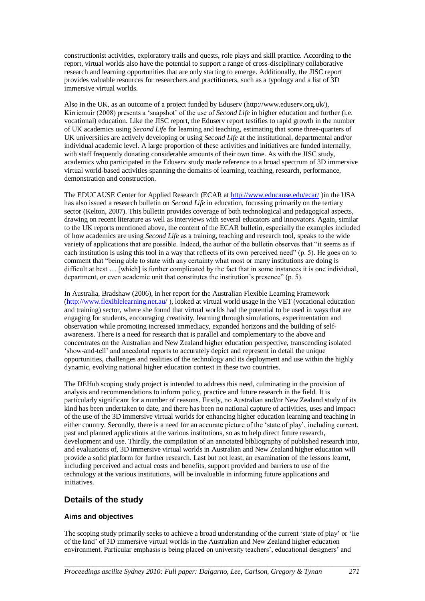constructionist activities, exploratory trails and quests, role plays and skill practice. According to the report, virtual worlds also have the potential to support a range of cross-disciplinary collaborative research and learning opportunities that are only starting to emerge. Additionally, the JISC report provides valuable resources for researchers and practitioners, such as a typology and a list of 3D immersive virtual worlds.

Also in the UK, as an outcome of a project funded by Eduserv (http://www.eduserv.org.uk/), Kirriemuir (2008) presents a "snapshot" of the use of *Second Life* in higher education and further (i.e. vocational) education. Like the JISC report, the Eduserv report testifies to rapid growth in the number of UK academics using *Second Life* for learning and teaching, estimating that some three-quarters of UK universities are actively developing or using *Second Life* at the institutional, departmental and/or individual academic level. A large proportion of these activities and initiatives are funded internally, with staff frequently donating considerable amounts of their own time. As with the JISC study, academics who participated in the Eduserv study made reference to a broad spectrum of 3D immersive virtual world-based activities spanning the domains of learning, teaching, research, performance, demonstration and construction.

The EDUCAUSE Center for Applied Research (ECAR at <http://www.educause.edu/ecar/> )in the USA has also issued a research bulletin on *Second Life* in education, focussing primarily on the tertiary sector (Kelton, 2007). This bulletin provides coverage of both technological and pedagogical aspects, drawing on recent literature as well as interviews with several educators and innovators. Again, similar to the UK reports mentioned above, the content of the ECAR bulletin, especially the examples included of how academics are using *Second Life* as a training, teaching and research tool, speaks to the wide variety of applications that are possible. Indeed, the author of the bulletin observes that "it seems as if each institution is using this tool in a way that reflects of its own perceived need" (p. 5). He goes on to comment that "being able to state with any certainty what most or many institutions are doing is difficult at best ... [which] is further complicated by the fact that in some instances it is one individual, department, or even academic unit that constitutes the institution's presence" (p. 5).

In Australia, Bradshaw (2006), in her report for the Australian Flexible Learning Framework [\(http://www.flexiblelearning.net.au/](http://www.flexiblelearning.net.au/) ), looked at virtual world usage in the VET (vocational education and training) sector, where she found that virtual worlds had the potential to be used in ways that are engaging for students, encouraging creativity, learning through simulations, experimentation and observation while promoting increased immediacy, expanded horizons and the building of selfawareness. There is a need for research that is parallel and complementary to the above and concentrates on the Australian and New Zealand higher education perspective, transcending isolated "show-and-tell" and anecdotal reports to accurately depict and represent in detail the unique opportunities, challenges and realities of the technology and its deployment and use within the highly dynamic, evolving national higher education context in these two countries.

The DEHub scoping study project is intended to address this need, culminating in the provision of analysis and recommendations to inform policy, practice and future research in the field. It is particularly significant for a number of reasons. Firstly, no Australian and/or New Zealand study of its kind has been undertaken to date, and there has been no national capture of activities, uses and impact of the use of the 3D immersive virtual worlds for enhancing higher education learning and teaching in either country. Secondly, there is a need for an accurate picture of the "state of play", including current, past and planned applications at the various institutions, so as to help direct future research, development and use. Thirdly, the compilation of an annotated bibliography of published research into, and evaluations of, 3D immersive virtual worlds in Australian and New Zealand higher education will provide a solid platform for further research. Last but not least, an examination of the lessons learnt, including perceived and actual costs and benefits, support provided and barriers to use of the technology at the various institutions, will be invaluable in informing future applications and initiatives.

# **Details of the study**

## **Aims and objectives**

The scoping study primarily seeks to achieve a broad understanding of the current "state of play" or "lie of the land" of 3D immersive virtual worlds in the Australian and New Zealand higher education environment. Particular emphasis is being placed on university teachers", educational designers" and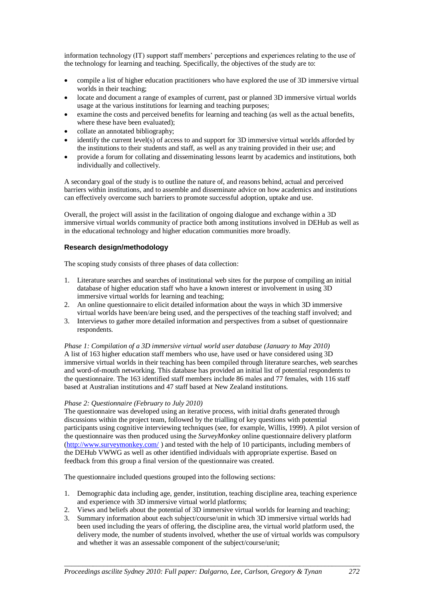information technology (IT) support staff members' perceptions and experiences relating to the use of the technology for learning and teaching. Specifically, the objectives of the study are to:

- compile a list of higher education practitioners who have explored the use of 3D immersive virtual worlds in their teaching;
- locate and document a range of examples of current, past or planned 3D immersive virtual worlds usage at the various institutions for learning and teaching purposes;
- examine the costs and perceived benefits for learning and teaching (as well as the actual benefits, where these have been evaluated):
- collate an annotated bibliography;
- identify the current level(s) of access to and support for 3D immersive virtual worlds afforded by the institutions to their students and staff, as well as any training provided in their use; and
- provide a forum for collating and disseminating lessons learnt by academics and institutions, both individually and collectively.

A secondary goal of the study is to outline the nature of, and reasons behind, actual and perceived barriers within institutions, and to assemble and disseminate advice on how academics and institutions can effectively overcome such barriers to promote successful adoption, uptake and use.

Overall, the project will assist in the facilitation of ongoing dialogue and exchange within a 3D immersive virtual worlds community of practice both among institutions involved in DEHub as well as in the educational technology and higher education communities more broadly.

## **Research design/methodology**

The scoping study consists of three phases of data collection:

- 1. Literature searches and searches of institutional web sites for the purpose of compiling an initial database of higher education staff who have a known interest or involvement in using 3D immersive virtual worlds for learning and teaching;
- 2. An online questionnaire to elicit detailed information about the ways in which 3D immersive virtual worlds have been/are being used, and the perspectives of the teaching staff involved; and
- 3. Interviews to gather more detailed information and perspectives from a subset of questionnaire respondents.

*Phase 1: Compilation of a 3D immersive virtual world user database (January to May 2010)* A list of 163 higher education staff members who use, have used or have considered using 3D immersive virtual worlds in their teaching has been compiled through literature searches, web searches and word-of-mouth networking. This database has provided an initial list of potential respondents to the questionnaire. The 163 identified staff members include 86 males and 77 females, with 116 staff based at Australian institutions and 47 staff based at New Zealand institutions.

## *Phase 2: Questionnaire (February to July 2010)*

The questionnaire was developed using an iterative process, with initial drafts generated through discussions within the project team, followed by the trialling of key questions with potential participants using cognitive interviewing techniques (see, for example, Willis, 1999). A pilot version of the questionnaire was then produced using the *SurveyMonkey* online questionnaire delivery platform [\(http://www.surveymonkey.com/](http://www.surveymonkey.com/) ) and tested with the help of 10 participants, including members of the DEHub VWWG as well as other identified individuals with appropriate expertise. Based on feedback from this group a final version of the questionnaire was created.

The questionnaire included questions grouped into the following sections:

- 1. Demographic data including age, gender, institution, teaching discipline area, teaching experience and experience with 3D immersive virtual world platforms;
- 2. Views and beliefs about the potential of 3D immersive virtual worlds for learning and teaching;
- 3. Summary information about each subject/course/unit in which 3D immersive virtual worlds had been used including the years of offering, the discipline area, the virtual world platform used, the delivery mode, the number of students involved, whether the use of virtual worlds was compulsory and whether it was an assessable component of the subject/course/unit;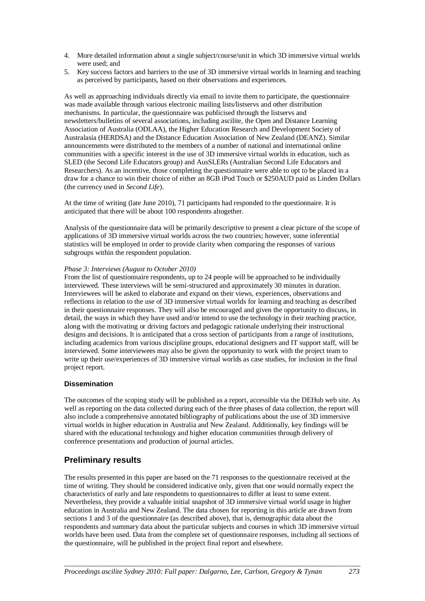- 4. More detailed information about a single subject/course/unit in which 3D immersive virtual worlds were used; and
- 5. Key success factors and barriers to the use of 3D immersive virtual worlds in learning and teaching as perceived by participants, based on their observations and experiences.

As well as approaching individuals directly via email to invite them to participate, the questionnaire was made available through various electronic mailing lists/listservs and other distribution mechanisms. In particular, the questionnaire was publicised through the listservs and newsletters/bulletins of several associations, including ascilite, the Open and Distance Learning Association of Australia (ODLAA), the Higher Education Research and Development Society of Australasia (HERDSA) and the Distance Education Association of New Zealand (DEANZ). Similar announcements were distributed to the members of a number of national and international online communities with a specific interest in the use of 3D immersive virtual worlds in education, such as SLED (the Second Life Educators group) and AusSLERs (Australian Second Life Educators and Researchers). As an incentive, those completing the questionnaire were able to opt to be placed in a draw for a chance to win their choice of either an 8GB iPod Touch or \$250AUD paid as Linden Dollars (the currency used in *Second Life*).

At the time of writing (late June 2010), 71 participants had responded to the questionnaire. It is anticipated that there will be about 100 respondents altogether.

Analysis of the questionnaire data will be primarily descriptive to present a clear picture of the scope of applications of 3D immersive virtual worlds across the two countries; however, some inferential statistics will be employed in order to provide clarity when comparing the responses of various subgroups within the respondent population.

## *Phase 3: Interviews (August to October 2010)*

From the list of questionnaire respondents, up to 24 people will be approached to be individually interviewed. These interviews will be semi-structured and approximately 30 minutes in duration. Interviewees will be asked to elaborate and expand on their views, experiences, observations and reflections in relation to the use of 3D immersive virtual worlds for learning and teaching as described in their questionnaire responses. They will also be encouraged and given the opportunity to discuss, in detail, the ways in which they have used and/or intend to use the technology in their teaching practice, along with the motivating or driving factors and pedagogic rationale underlying their instructional designs and decisions. It is anticipated that a cross section of participants from a range of institutions, including academics from various discipline groups, educational designers and IT support staff, will be interviewed. Some interviewees may also be given the opportunity to work with the project team to write up their use/experiences of 3D immersive virtual worlds as case studies, for inclusion in the final project report.

## **Dissemination**

The outcomes of the scoping study will be published as a report, accessible via the DEHub web site. As well as reporting on the data collected during each of the three phases of data collection, the report will also include a comprehensive annotated bibliography of publications about the use of 3D immersive virtual worlds in higher education in Australia and New Zealand. Additionally, key findings will be shared with the educational technology and higher education communities through delivery of conference presentations and production of journal articles.

# **Preliminary results**

The results presented in this paper are based on the 71 responses to the questionnaire received at the time of writing. They should be considered indicative only, given that one would normally expect the characteristics of early and late respondents to questionnaires to differ at least to some extent. Nevertheless, they provide a valuable initial snapshot of 3D immersive virtual world usage in higher education in Australia and New Zealand. The data chosen for reporting in this article are drawn from sections 1 and 3 of the questionnaire (as described above), that is, demographic data about the respondents and summary data about the particular subjects and courses in which 3D immersive virtual worlds have been used. Data from the complete set of questionnaire responses, including all sections of the questionnaire, will be published in the project final report and elsewhere.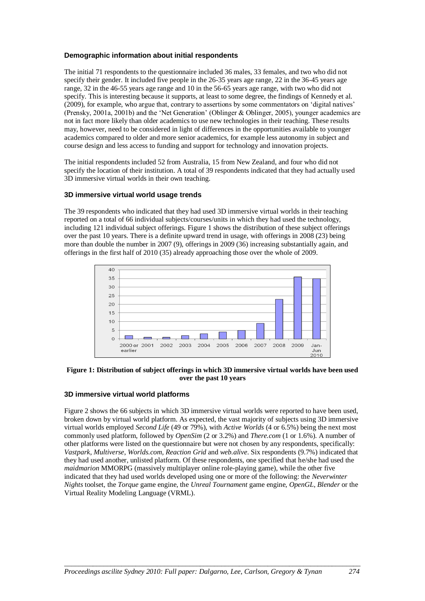## **Demographic information about initial respondents**

The initial 71 respondents to the questionnaire included 36 males, 33 females, and two who did not specify their gender. It included five people in the 26-35 years age range, 22 in the 36-45 years age range, 32 in the 46-55 years age range and 10 in the 56-65 years age range, with two who did not specify. This is interesting because it supports, at least to some degree, the findings of Kennedy et al. (2009), for example, who argue that, contrary to assertions by some commentators on "digital natives" (Prensky, 2001a, 2001b) and the "Net Generation" (Oblinger & Oblinger, 2005), younger academics are not in fact more likely than older academics to use new technologies in their teaching. These results may, however, need to be considered in light of differences in the opportunities available to younger academics compared to older and more senior academics, for example less autonomy in subject and course design and less access to funding and support for technology and innovation projects.

The initial respondents included 52 from Australia, 15 from New Zealand, and four who did not specify the location of their institution. A total of 39 respondents indicated that they had actually used 3D immersive virtual worlds in their own teaching.

## **3D immersive virtual world usage trends**

The 39 respondents who indicated that they had used 3D immersive virtual worlds in their teaching reported on a total of 66 individual subjects/courses/units in which they had used the technology, including 121 individual subject offerings. Figure 1 shows the distribution of these subject offerings over the past 10 years. There is a definite upward trend in usage, with offerings in 2008 (23) being more than double the number in 2007 (9), offerings in 2009 (36) increasing substantially again, and offerings in the first half of 2010 (35) already approaching those over the whole of 2009.



#### **Figure 1: Distribution of subject offerings in which 3D immersive virtual worlds have been used over the past 10 years**

## **3D immersive virtual world platforms**

Figure 2 shows the 66 subjects in which 3D immersive virtual worlds were reported to have been used, broken down by virtual world platform. As expected, the vast majority of subjects using 3D immersive virtual worlds employed *Second Life* (49 or 79%), with *Active Worlds* (4 or 6.5%) being the next most commonly used platform, followed by *OpenSim* (2 or 3.2%) and *There.com* (1 or 1.6%). A number of other platforms were listed on the questionnaire but were not chosen by any respondents, specifically: *Vastpark*, *Multiverse*, *Worlds.com*, *Reaction Grid* and *web.alive*. Six respondents (9.7%) indicated that they had used another, unlisted platform. Of these respondents, one specified that he/she had used the *maidmarion* MMORPG (massively multiplayer online role-playing game), while the other five indicated that they had used worlds developed using one or more of the following: the *Neverwinter Nights* toolset, the *Torque* game engine, the *Unreal Tournament* game engine, *OpenGL*, *Blender* or the Virtual Reality Modeling Language (VRML).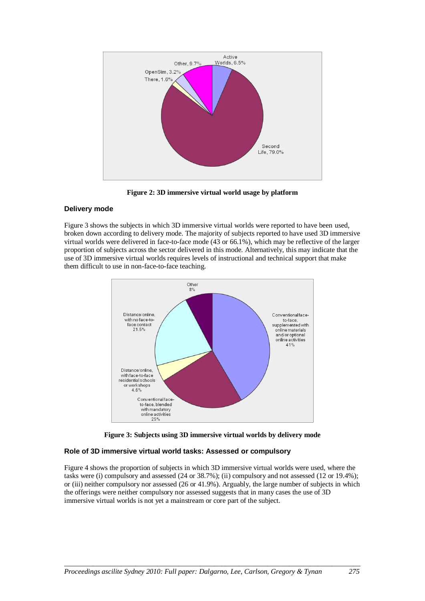

**Figure 2: 3D immersive virtual world usage by platform**

## **Delivery mode**

Figure 3 shows the subjects in which 3D immersive virtual worlds were reported to have been used, broken down according to delivery mode. The majority of subjects reported to have used 3D immersive virtual worlds were delivered in face-to-face mode (43 or 66.1%), which may be reflective of the larger proportion of subjects across the sector delivered in this mode. Alternatively, this may indicate that the use of 3D immersive virtual worlds requires levels of instructional and technical support that make them difficult to use in non-face-to-face teaching.



**Figure 3: Subjects using 3D immersive virtual worlds by delivery mode**

# **Role of 3D immersive virtual world tasks: Assessed or compulsory**

Figure 4 shows the proportion of subjects in which 3D immersive virtual worlds were used, where the tasks were (i) compulsory and assessed (24 or 38.7%); (ii) compulsory and not assessed (12 or 19.4%); or (iii) neither compulsory nor assessed (26 or 41.9%). Arguably, the large number of subjects in which the offerings were neither compulsory nor assessed suggests that in many cases the use of 3D immersive virtual worlds is not yet a mainstream or core part of the subject.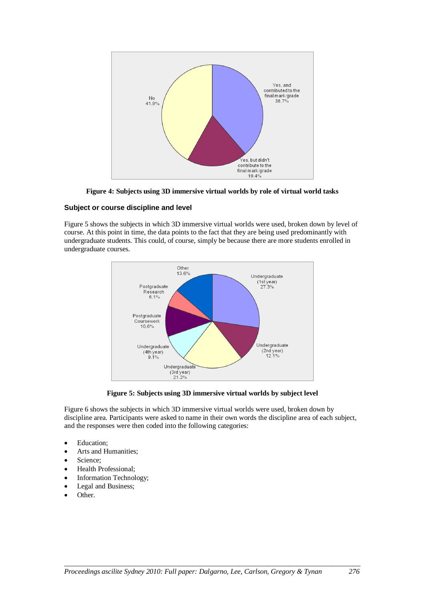

**Figure 4: Subjects using 3D immersive virtual worlds by role of virtual world tasks**

## **Subject or course discipline and level**

Figure 5 shows the subjects in which 3D immersive virtual worlds were used, broken down by level of course. At this point in time, the data points to the fact that they are being used predominantly with undergraduate students. This could, of course, simply be because there are more students enrolled in undergraduate courses.



**Figure 5: Subjects using 3D immersive virtual worlds by subject level**

Figure 6 shows the subjects in which 3D immersive virtual worlds were used, broken down by discipline area. Participants were asked to name in their own words the discipline area of each subject, and the responses were then coded into the following categories:

- Education:
- Arts and Humanities;
- Science:
- Health Professional;
- Information Technology;
- Legal and Business;
- Other.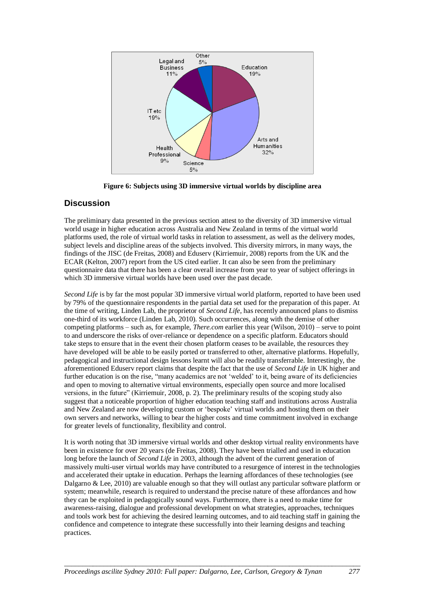

**Figure 6: Subjects using 3D immersive virtual worlds by discipline area**

# **Discussion**

The preliminary data presented in the previous section attest to the diversity of 3D immersive virtual world usage in higher education across Australia and New Zealand in terms of the virtual world platforms used, the role of virtual world tasks in relation to assessment, as well as the delivery modes, subject levels and discipline areas of the subjects involved. This diversity mirrors, in many ways, the findings of the JISC (de Freitas, 2008) and Eduserv (Kirriemuir, 2008) reports from the UK and the ECAR (Kelton, 2007) report from the US cited earlier. It can also be seen from the preliminary questionnaire data that there has been a clear overall increase from year to year of subject offerings in which 3D immersive virtual worlds have been used over the past decade.

*Second Life* is by far the most popular 3D immersive virtual world platform, reported to have been used by 79% of the questionnaire respondents in the partial data set used for the preparation of this paper. At the time of writing, Linden Lab, the proprietor of *Second Life*, has recently announced plans to dismiss one-third of its workforce (Linden Lab, 2010). Such occurrences, along with the demise of other competing platforms – such as, for example, *There.com* earlier this year (Wilson, 2010) – serve to point to and underscore the risks of over-reliance or dependence on a specific platform. Educators should take steps to ensure that in the event their chosen platform ceases to be available, the resources they have developed will be able to be easily ported or transferred to other, alternative platforms. Hopefully, pedagogical and instructional design lessons learnt will also be readily transferrable. Interestingly, the aforementioned Eduserv report claims that despite the fact that the use of *Second Life* in UK higher and further education is on the rise, "many academics are not 'welded' to it, being aware of its deficiencies and open to moving to alternative virtual environments, especially open source and more localised versions, in the future" (Kirriemuir, 2008, p. 2). The preliminary results of the scoping study also suggest that a noticeable proportion of higher education teaching staff and institutions across Australia and New Zealand are now developing custom or "bespoke" virtual worlds and hosting them on their own servers and networks, willing to bear the higher costs and time commitment involved in exchange for greater levels of functionality, flexibility and control.

It is worth noting that 3D immersive virtual worlds and other desktop virtual reality environments have been in existence for over 20 years (de Freitas, 2008). They have been trialled and used in education long before the launch of *Second Life* in 2003, although the advent of the current generation of massively multi-user virtual worlds may have contributed to a resurgence of interest in the technologies and accelerated their uptake in education. Perhaps the learning affordances of these technologies (see Dalgarno & Lee, 2010) are valuable enough so that they will outlast any particular software platform or system; meanwhile, research is required to understand the precise nature of these affordances and how they can be exploited in pedagogically sound ways. Furthermore, there is a need to make time for awareness-raising, dialogue and professional development on what strategies, approaches, techniques and tools work best for achieving the desired learning outcomes, and to aid teaching staff in gaining the confidence and competence to integrate these successfully into their learning designs and teaching practices.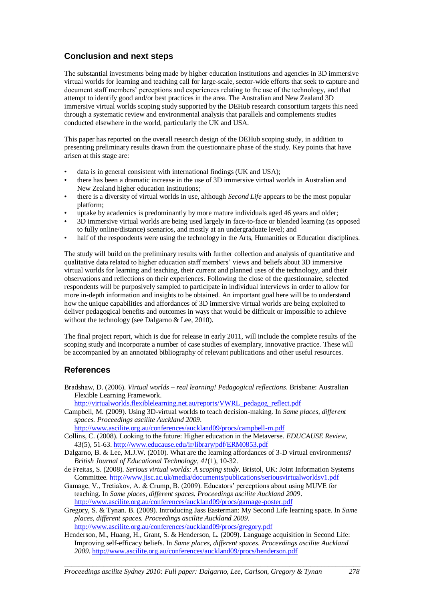# **Conclusion and next steps**

The substantial investments being made by higher education institutions and agencies in 3D immersive virtual worlds for learning and teaching call for large-scale, sector-wide efforts that seek to capture and document staff members' perceptions and experiences relating to the use of the technology, and that attempt to identify good and/or best practices in the area. The Australian and New Zealand 3D immersive virtual worlds scoping study supported by the DEHub research consortium targets this need through a systematic review and environmental analysis that parallels and complements studies conducted elsewhere in the world, particularly the UK and USA.

This paper has reported on the overall research design of the DEHub scoping study, in addition to presenting preliminary results drawn from the questionnaire phase of the study. Key points that have arisen at this stage are:

- data is in general consistent with international findings (UK and USA);
- there has been a dramatic increase in the use of 3D immersive virtual worlds in Australian and New Zealand higher education institutions;
- there is a diversity of virtual worlds in use, although *Second Life* appears to be the most popular platform;
- uptake by academics is predominantly by more mature individuals aged 46 years and older;
- 3D immersive virtual worlds are being used largely in face-to-face or blended learning (as opposed to fully online/distance) scenarios, and mostly at an undergraduate level; and
- half of the respondents were using the technology in the Arts, Humanities or Education disciplines.

The study will build on the preliminary results with further collection and analysis of quantitative and qualitative data related to higher education staff members" views and beliefs about 3D immersive virtual worlds for learning and teaching, their current and planned uses of the technology, and their observations and reflections on their experiences. Following the close of the questionnaire, selected respondents will be purposively sampled to participate in individual interviews in order to allow for more in-depth information and insights to be obtained. An important goal here will be to understand how the unique capabilities and affordances of 3D immersive virtual worlds are being exploited to deliver pedagogical benefits and outcomes in ways that would be difficult or impossible to achieve without the technology (see Dalgarno & Lee, 2010).

The final project report, which is due for release in early 2011, will include the complete results of the scoping study and incorporate a number of case studies of exemplary, innovative practice. These will be accompanied by an annotated bibliography of relevant publications and other useful resources.

# **References**

Bradshaw, D. (2006). *Virtual worlds – real learning! Pedagogical reflections*. Brisbane: Australian Flexible Learning Framework.

[http://virtualworlds.flexiblelearning.net.au/reports/VWRL\\_pedagog\\_reflect.pdf](http://virtualworlds.flexiblelearning.net.au/reports/VWRL_pedagog_reflect.pdf)

Campbell, M. (2009). Using 3D-virtual worlds to teach decision-making. In *Same places, different spaces. Proceedings ascilite Auckland 2009*.

<http://www.ascilite.org.au/conferences/auckland09/procs/campbell-m.pdf>

Collins, C. (2008). Looking to the future: Higher education in the Metaverse. *EDUCAUSE Review*, 43(5), 51-63.<http://www.educause.edu/ir/library/pdf/ERM0853.pdf>

- Dalgarno, B. & Lee, M.J.W. (2010). What are the learning affordances of 3-D virtual environments? *British Journal of Educational Technology, 41*(1), 10-32.
- de Freitas, S. (2008). *Serious virtual worlds: A scoping study*. Bristol, UK: Joint Information Systems Committee[. http://www.jisc.ac.uk/media/documents/publications/seriousvirtualworldsv1.pdf](http://www.jisc.ac.uk/media/documents/publications/seriousvirtualworldsv1.pdf)
- Gamage, V., Tretiakov, A. & Crump, B. (2009). Educators" perceptions about using MUVE for teaching. In *Same places, different spaces. Proceedings ascilite Auckland 2009*. <http://www.ascilite.org.au/conferences/auckland09/procs/gamage-poster.pdf>
- Gregory, S. & Tynan. B. (2009). Introducing Jass Easterman: My Second Life learning space. In *Same places, different spaces. Proceedings ascilite Auckland 2009*. <http://www.ascilite.org.au/conferences/auckland09/procs/gregory.pdf>
- Henderson, M., Huang, H., Grant, S. & Henderson, L. (2009). Language acquisition in Second Life: Improving self-efficacy beliefs. In *Same places, different spaces. Proceedings ascilite Auckland 2009*.<http://www.ascilite.org.au/conferences/auckland09/procs/henderson.pdf>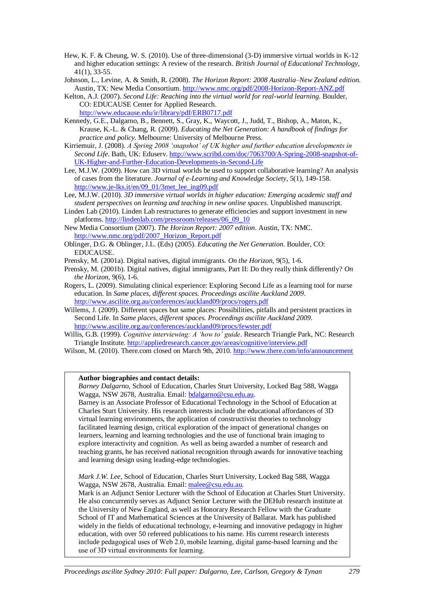- Hew, K. F. & Cheung, W. S. (2010). Use of three-dimensional (3-D) immersive virtual worlds in K-12 and higher education settings: A review of the research. *British Journal of Educational Technology*, 41(1), 33-55.
- Johnson, L., Levine, A. & Smith, R. (2008). *The Horizon Report: 2008 Australia–New Zealand edition*. Austin, TX: New Media Consortium.<http://www.nmc.org/pdf/2008-Horizon-Report-ANZ.pdf>
- Kelton, A.J. (2007). *Second Life: Reaching into the virtual world for real-world learning*. Boulder, CO: EDUCAUSE Center for Applied Research. <http://www.educause.edu/ir/library/pdf/ERB0717.pdf>
- Kennedy, G.E., Dalgarno, B., Bennett, S., Gray, K., Waycott, J., Judd, T., Bishop, A., Maton, K., Krause, K.-L. & Chang, R. (2009). *Educating the Net Generation: A handbook of findings for practice and policy*. Melbourne: University of Melbourne Press.
- Kirriemuir, J. (2008). *A Spring 2008 'snapshot' of UK higher and further education developments in Second Life*. Bath, UK: Eduserv[. http://www.scribd.com/doc/7063700/A-Spring-2008-snapshot-of-](http://www.scribd.com/doc/7063700/A-Spring-2008-snapshot-of-UK-Higher-and-Further-Education-Developments-in-Second-Life)[UK-Higher-and-Further-Education-Developments-in-Second-Life](http://www.scribd.com/doc/7063700/A-Spring-2008-snapshot-of-UK-Higher-and-Further-Education-Developments-in-Second-Life)
- Lee, M.J.W. (2009). [How can 3D virtual worlds be used to support collaborative learning? An analysis](http://www.je-lks.it/en/09_01/3met_lee_ing09.pdf)  [of cases from the literature.](http://www.je-lks.it/en/09_01/3met_lee_ing09.pdf) *Journal of e-Learning and Knowledge Society*, 5(1), 149-158. [http://www.je-lks.it/en/09\\_01/3met\\_lee\\_ing09.pdf](http://www.je-lks.it/en/09_01/3met_lee_ing09.pdf)
- Lee, M.J.W. (2010). *3D immersive virtual worlds in higher education: Emerging academic staff and student perspectives on learning and teaching in new online spaces*. Unpublished manuscript.
- Linden Lab (2010). Linden Lab restructures to generate efficiencies and support investment in new platforms[. http://lindenlab.com/pressroom/releases/06\\_09\\_10](http://lindenlab.com/pressroom/releases/06_09_10)
- New Media Consortium (2007). *The Horizon Report: 2007 edition*. Austin, TX: NMC. [http://www.nmc.org/pdf/2007\\_Horizon\\_Report.pdf](http://www.nmc.org/pdf/2007_Horizon_Report.pdf)
- Oblinger, D.G. & Oblinger, J.L. (Eds) (2005). *Educating the Net Generation*. Boulder, CO: EDUCAUSE.
- Prensky, M. (2001a). Digital natives, digital immigrants. *On the Horizon*, 9(5), 1-6.
- Prensky, M. (2001b). Digital natives, digital immigrants, Part II: Do they really think differently? *On the Horizon*, 9(6), 1-6.
- Rogers, L. (2009). Simulating clinical experience: Exploring Second Life as a learning tool for nurse education. In *Same places, different spaces. Proceedings ascilite Auckland 2009*. <http://www.ascilite.org.au/conferences/auckland09/procs/rogers.pdf>
- Willems, J. (2009). Different spaces but same places: Possibilities, pitfalls and persistent practices in Second Life. In *Same places, different spaces. Proceedings ascilite Auckland 2009*. <http://www.ascilite.org.au/conferences/auckland09/procs/fewster.pdf>
- Willis, G.B. (1999). *Cognitive interviewing: A 'how to' guide*. Research Triangle Park, NC: Research Triangle Institute.<http://appliedresearch.cancer.gov/areas/cognitive/interview.pdf>
- Wilson, M. (2010). There.com closed on March 9th, 2010.<http://www.there.com/info/announcement>

#### **Author biographies and contact details:**

*Barney Dalgarno*, School of Education, Charles Sturt University, Locked Bag 588, Wagga Wagga, NSW 2678, Australia. Email[: bdalgarno@csu.edu.au.](mailto:bdalgarno@csu.edu.au)

Barney is an Associate Professor of Educational Technology in the School of Education at Charles Sturt University. His research interests include the educational affordances of 3D virtual learning environments, the application of constructivist theories to technology facilitated learning design, critical exploration of the impact of generational changes on learners, learning and learning technologies and the use of functional brain imaging to explore interactivity and cognition. As well as being awarded a number of research and teaching grants, he has received national recognition through awards for innovative teaching and learning design using leading-edge technologies.

*Mark J.W. Lee*, School of Education, Charles Sturt University, Locked Bag 588, Wagga Wagga, NSW 2678, Australia. Email[: malee@csu.edu.au.](mailto:malee@csu.edu.au)

Mark is an Adjunct Senior Lecturer with the School of Education at Charles Sturt University. He also concurrently serves as Adjunct Senior Lecturer with the DEHub research institute at the University of New England, as well as Honorary Research Fellow with the Graduate School of IT and Mathematical Sciences at the University of Ballarat. Mark has published widely in the fields of educational technology, e-learning and innovative pedagogy in higher education, with over 50 refereed publications to his name. His current research interests include pedagogical uses of Web 2.0, mobile learning, digital game-based learning and the use of 3D virtual environments for learning.